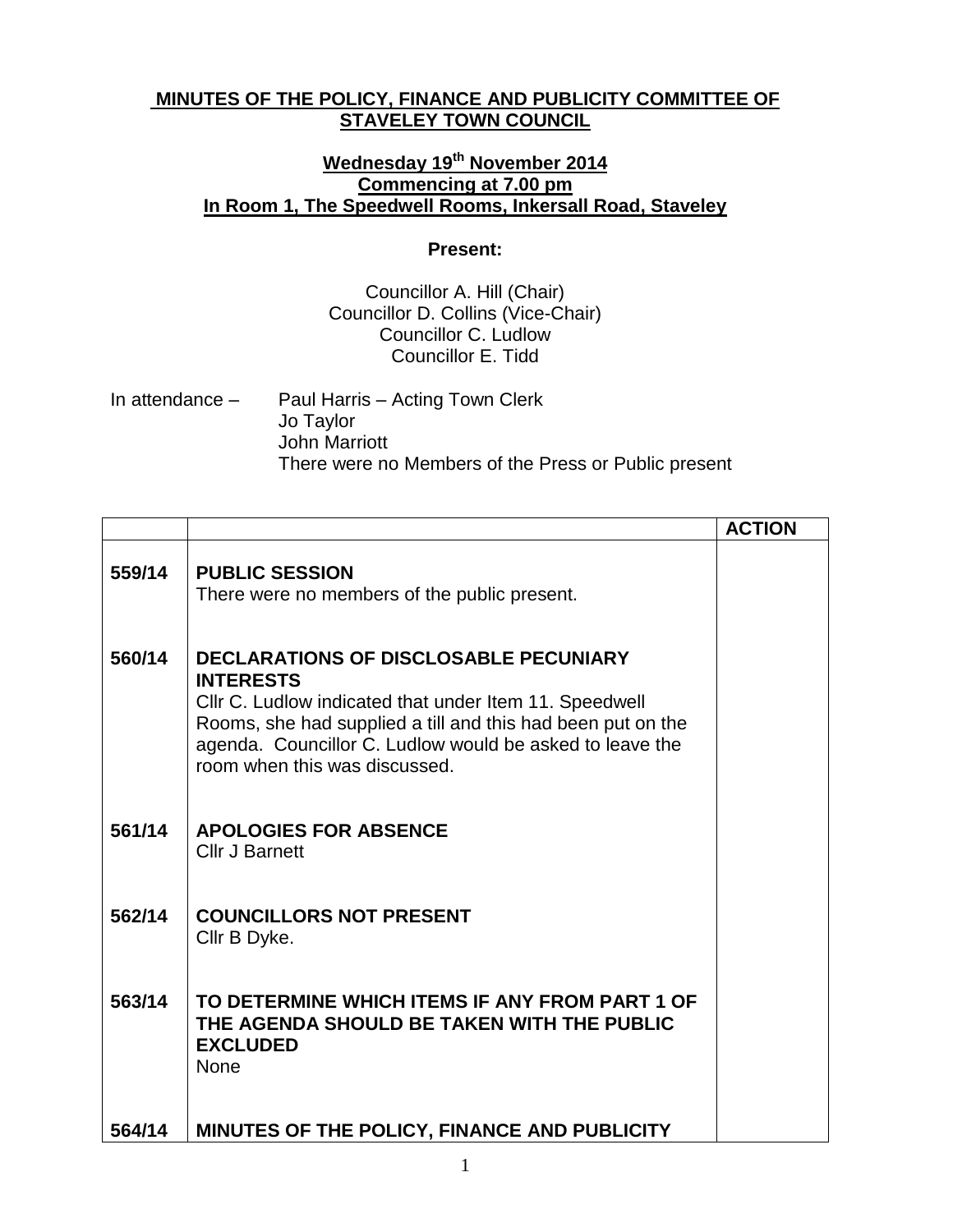## **MINUTES OF THE POLICY, FINANCE AND PUBLICITY COMMITTEE OF STAVELEY TOWN COUNCIL**

## **Wednesday 19th November 2014 Commencing at 7.00 pm In Room 1, The Speedwell Rooms, Inkersall Road, Staveley**

## **Present:**

## Councillor A. Hill (Chair) Councillor D. Collins (Vice-Chair) Councillor C. Ludlow Councillor E. Tidd

| In attendance $-$ | Paul Harris – Acting Town Clerk                      |
|-------------------|------------------------------------------------------|
|                   | Jo Taylor                                            |
|                   | John Marriott                                        |
|                   | There were no Members of the Press or Public present |

|        |                                                                                                                                                                                                                                                                                        | <b>ACTION</b> |
|--------|----------------------------------------------------------------------------------------------------------------------------------------------------------------------------------------------------------------------------------------------------------------------------------------|---------------|
| 559/14 | <b>PUBLIC SESSION</b><br>There were no members of the public present.                                                                                                                                                                                                                  |               |
| 560/14 | <b>DECLARATIONS OF DISCLOSABLE PECUNIARY</b><br><b>INTERESTS</b><br>Cllr C. Ludlow indicated that under Item 11. Speedwell<br>Rooms, she had supplied a till and this had been put on the<br>agenda. Councillor C. Ludlow would be asked to leave the<br>room when this was discussed. |               |
| 561/14 | <b>APOLOGIES FOR ABSENCE</b><br><b>Cllr J Barnett</b>                                                                                                                                                                                                                                  |               |
| 562/14 | <b>COUNCILLORS NOT PRESENT</b><br>Cllr B Dyke.                                                                                                                                                                                                                                         |               |
| 563/14 | TO DETERMINE WHICH ITEMS IF ANY FROM PART 1 OF<br>THE AGENDA SHOULD BE TAKEN WITH THE PUBLIC<br><b>EXCLUDED</b><br><b>None</b>                                                                                                                                                         |               |
| 564/14 | MINUTES OF THE POLICY, FINANCE AND PUBLICITY                                                                                                                                                                                                                                           |               |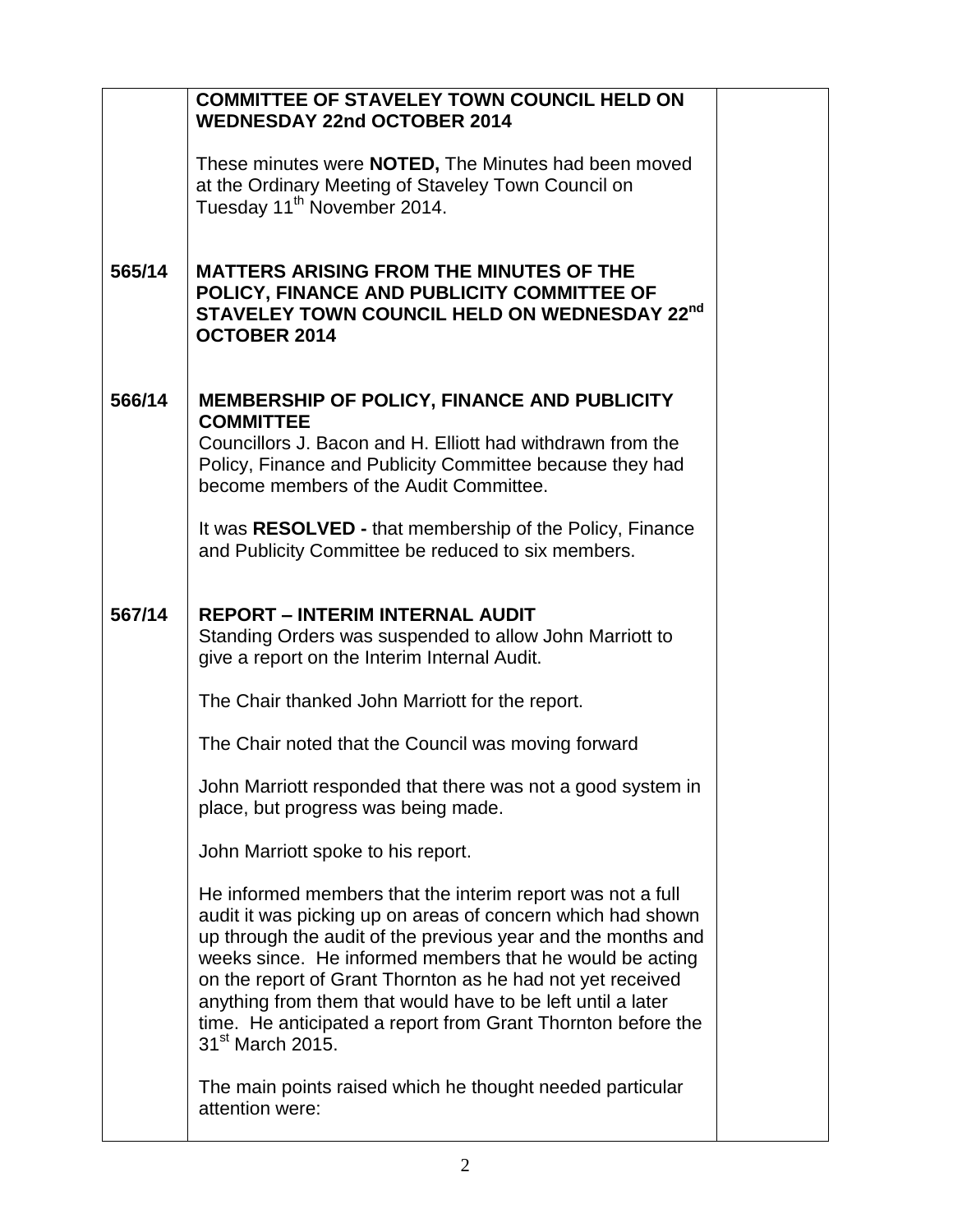|        | <b>COMMITTEE OF STAVELEY TOWN COUNCIL HELD ON</b><br><b>WEDNESDAY 22nd OCTOBER 2014</b>                                                                                                                                                                                                                                                                                                                                                                                            |  |
|--------|------------------------------------------------------------------------------------------------------------------------------------------------------------------------------------------------------------------------------------------------------------------------------------------------------------------------------------------------------------------------------------------------------------------------------------------------------------------------------------|--|
|        | These minutes were <b>NOTED</b> , The Minutes had been moved<br>at the Ordinary Meeting of Staveley Town Council on<br>Tuesday 11 <sup>th</sup> November 2014.                                                                                                                                                                                                                                                                                                                     |  |
| 565/14 | <b>MATTERS ARISING FROM THE MINUTES OF THE</b><br>POLICY, FINANCE AND PUBLICITY COMMITTEE OF<br>STAVELEY TOWN COUNCIL HELD ON WEDNESDAY 22nd<br><b>OCTOBER 2014</b>                                                                                                                                                                                                                                                                                                                |  |
| 566/14 | <b>MEMBERSHIP OF POLICY, FINANCE AND PUBLICITY</b><br><b>COMMITTEE</b>                                                                                                                                                                                                                                                                                                                                                                                                             |  |
|        | Councillors J. Bacon and H. Elliott had withdrawn from the<br>Policy, Finance and Publicity Committee because they had<br>become members of the Audit Committee.                                                                                                                                                                                                                                                                                                                   |  |
|        | It was <b>RESOLVED</b> - that membership of the Policy, Finance<br>and Publicity Committee be reduced to six members.                                                                                                                                                                                                                                                                                                                                                              |  |
| 567/14 | <b>REPORT - INTERIM INTERNAL AUDIT</b><br>Standing Orders was suspended to allow John Marriott to<br>give a report on the Interim Internal Audit.                                                                                                                                                                                                                                                                                                                                  |  |
|        | The Chair thanked John Marriott for the report.                                                                                                                                                                                                                                                                                                                                                                                                                                    |  |
|        | The Chair noted that the Council was moving forward                                                                                                                                                                                                                                                                                                                                                                                                                                |  |
|        | John Marriott responded that there was not a good system in<br>place, but progress was being made.                                                                                                                                                                                                                                                                                                                                                                                 |  |
|        | John Marriott spoke to his report.                                                                                                                                                                                                                                                                                                                                                                                                                                                 |  |
|        | He informed members that the interim report was not a full<br>audit it was picking up on areas of concern which had shown<br>up through the audit of the previous year and the months and<br>weeks since. He informed members that he would be acting<br>on the report of Grant Thornton as he had not yet received<br>anything from them that would have to be left until a later<br>time. He anticipated a report from Grant Thornton before the<br>31 <sup>st</sup> March 2015. |  |
|        | The main points raised which he thought needed particular<br>attention were:                                                                                                                                                                                                                                                                                                                                                                                                       |  |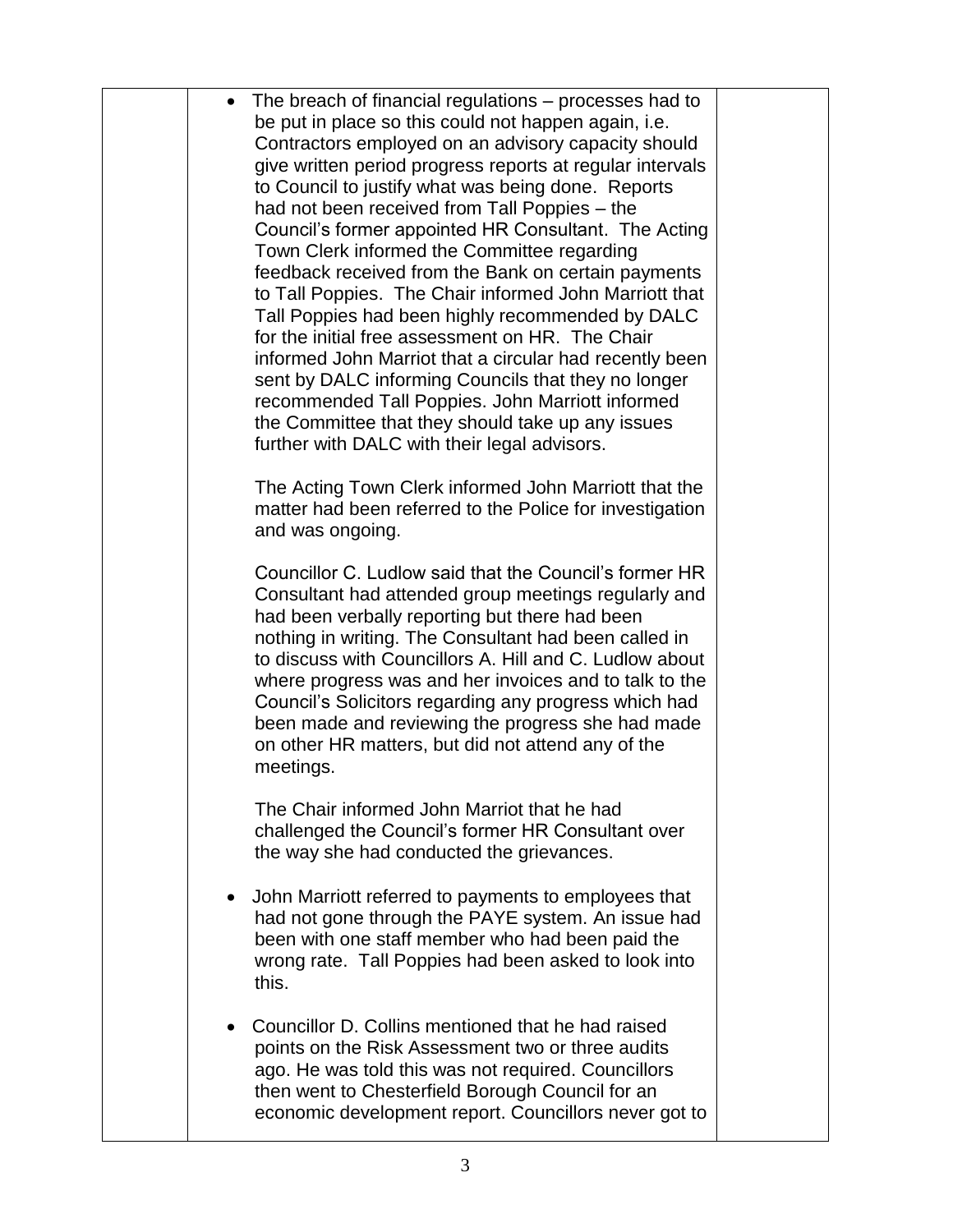| $\bullet$ | The breach of financial regulations – processes had to<br>be put in place so this could not happen again, i.e.<br>Contractors employed on an advisory capacity should<br>give written period progress reports at regular intervals<br>to Council to justify what was being done. Reports<br>had not been received from Tall Poppies - the<br>Council's former appointed HR Consultant. The Acting<br>Town Clerk informed the Committee regarding<br>feedback received from the Bank on certain payments<br>to Tall Poppies. The Chair informed John Marriott that<br>Tall Poppies had been highly recommended by DALC<br>for the initial free assessment on HR. The Chair<br>informed John Marriot that a circular had recently been<br>sent by DALC informing Councils that they no longer<br>recommended Tall Poppies. John Marriott informed<br>the Committee that they should take up any issues<br>further with DALC with their legal advisors. |  |
|-----------|------------------------------------------------------------------------------------------------------------------------------------------------------------------------------------------------------------------------------------------------------------------------------------------------------------------------------------------------------------------------------------------------------------------------------------------------------------------------------------------------------------------------------------------------------------------------------------------------------------------------------------------------------------------------------------------------------------------------------------------------------------------------------------------------------------------------------------------------------------------------------------------------------------------------------------------------------|--|
|           | The Acting Town Clerk informed John Marriott that the<br>matter had been referred to the Police for investigation<br>and was ongoing.                                                                                                                                                                                                                                                                                                                                                                                                                                                                                                                                                                                                                                                                                                                                                                                                                |  |
|           | Councillor C. Ludlow said that the Council's former HR<br>Consultant had attended group meetings regularly and<br>had been verbally reporting but there had been<br>nothing in writing. The Consultant had been called in<br>to discuss with Councillors A. Hill and C. Ludlow about<br>where progress was and her invoices and to talk to the<br>Council's Solicitors regarding any progress which had<br>been made and reviewing the progress she had made<br>on other HR matters, but did not attend any of the<br>meetings.                                                                                                                                                                                                                                                                                                                                                                                                                      |  |
|           | The Chair informed John Marriot that he had<br>challenged the Council's former HR Consultant over<br>the way she had conducted the grievances.                                                                                                                                                                                                                                                                                                                                                                                                                                                                                                                                                                                                                                                                                                                                                                                                       |  |
| $\bullet$ | John Marriott referred to payments to employees that<br>had not gone through the PAYE system. An issue had<br>been with one staff member who had been paid the<br>wrong rate. Tall Poppies had been asked to look into<br>this.                                                                                                                                                                                                                                                                                                                                                                                                                                                                                                                                                                                                                                                                                                                      |  |
| $\bullet$ | Councillor D. Collins mentioned that he had raised<br>points on the Risk Assessment two or three audits<br>ago. He was told this was not required. Councillors<br>then went to Chesterfield Borough Council for an<br>economic development report. Councillors never got to                                                                                                                                                                                                                                                                                                                                                                                                                                                                                                                                                                                                                                                                          |  |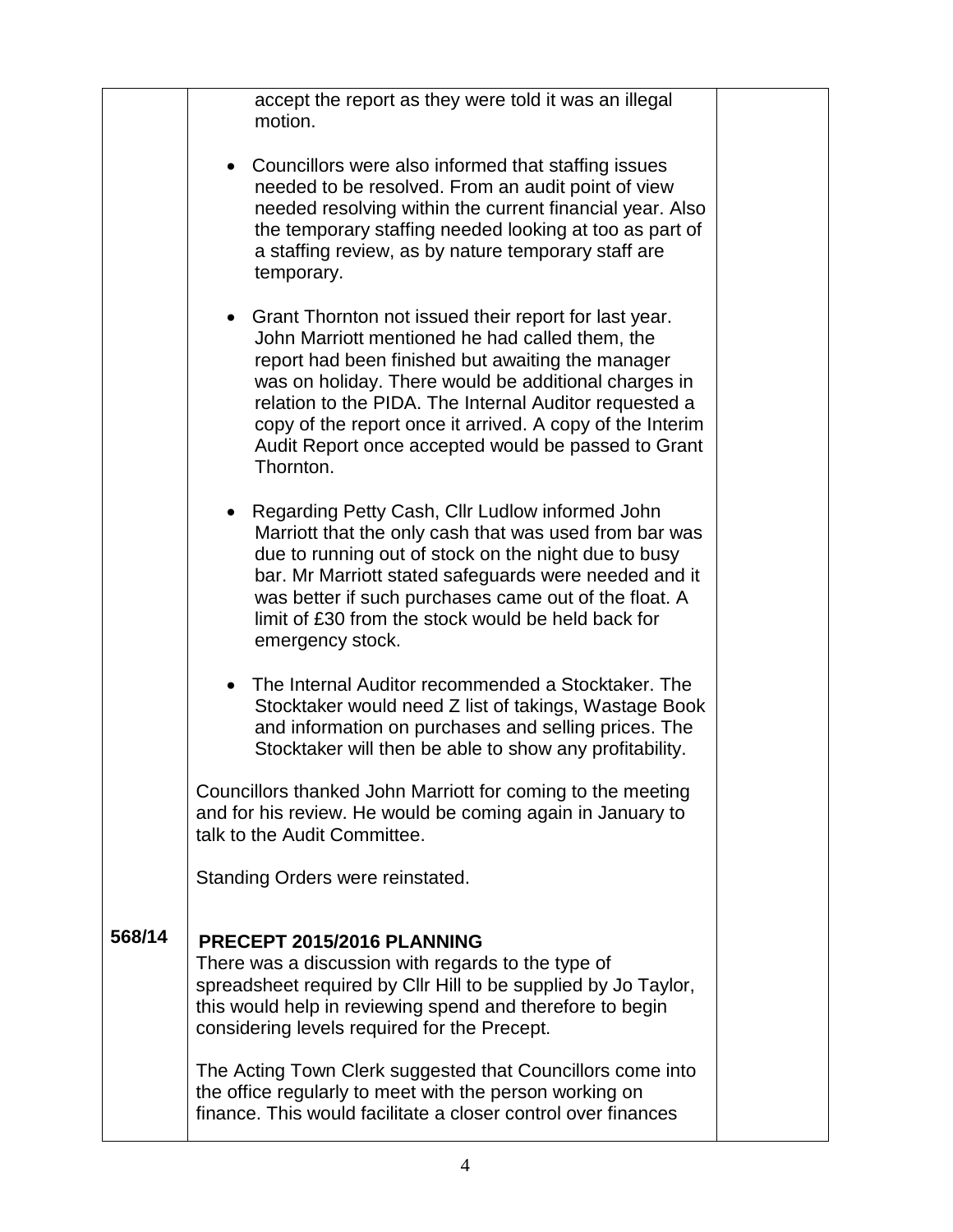|        | accept the report as they were told it was an illegal<br>motion.                                                                                                                                                                                                                                                                                                                                                   |  |
|--------|--------------------------------------------------------------------------------------------------------------------------------------------------------------------------------------------------------------------------------------------------------------------------------------------------------------------------------------------------------------------------------------------------------------------|--|
|        | • Councillors were also informed that staffing issues<br>needed to be resolved. From an audit point of view<br>needed resolving within the current financial year. Also<br>the temporary staffing needed looking at too as part of<br>a staffing review, as by nature temporary staff are<br>temporary.                                                                                                            |  |
|        | • Grant Thornton not issued their report for last year.<br>John Marriott mentioned he had called them, the<br>report had been finished but awaiting the manager<br>was on holiday. There would be additional charges in<br>relation to the PIDA. The Internal Auditor requested a<br>copy of the report once it arrived. A copy of the Interim<br>Audit Report once accepted would be passed to Grant<br>Thornton. |  |
|        | • Regarding Petty Cash, Cllr Ludlow informed John<br>Marriott that the only cash that was used from bar was<br>due to running out of stock on the night due to busy<br>bar. Mr Marriott stated safeguards were needed and it<br>was better if such purchases came out of the float. A<br>limit of £30 from the stock would be held back for<br>emergency stock.                                                    |  |
|        | • The Internal Auditor recommended a Stocktaker. The<br>Stocktaker would need Z list of takings, Wastage Book<br>and information on purchases and selling prices. The<br>Stocktaker will then be able to show any profitability.                                                                                                                                                                                   |  |
|        | Councillors thanked John Marriott for coming to the meeting<br>and for his review. He would be coming again in January to<br>talk to the Audit Committee.                                                                                                                                                                                                                                                          |  |
|        | Standing Orders were reinstated.                                                                                                                                                                                                                                                                                                                                                                                   |  |
| 568/14 | PRECEPT 2015/2016 PLANNING<br>There was a discussion with regards to the type of<br>spreadsheet required by Cllr Hill to be supplied by Jo Taylor,<br>this would help in reviewing spend and therefore to begin<br>considering levels required for the Precept.                                                                                                                                                    |  |
|        | The Acting Town Clerk suggested that Councillors come into<br>the office regularly to meet with the person working on<br>finance. This would facilitate a closer control over finances                                                                                                                                                                                                                             |  |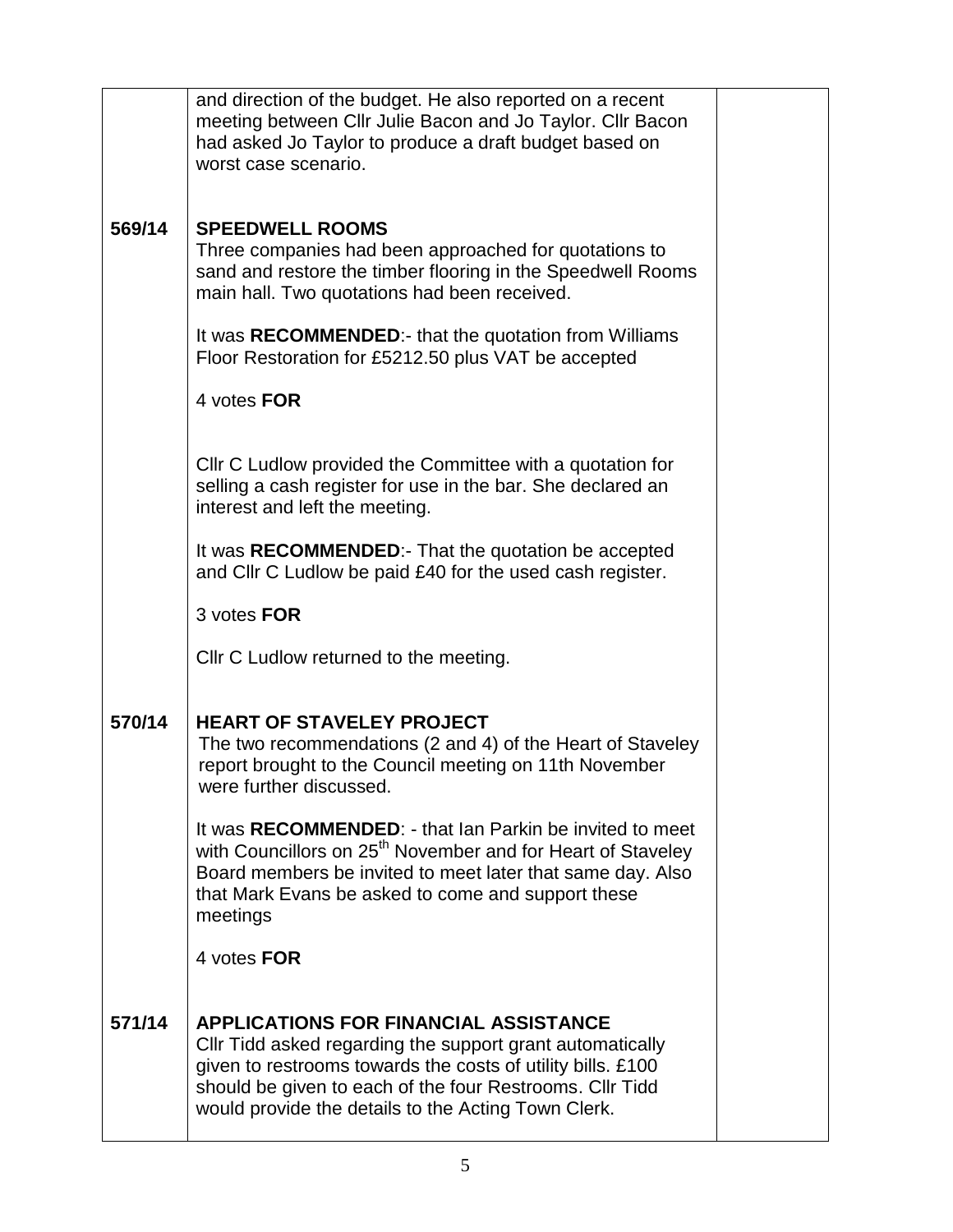|        | and direction of the budget. He also reported on a recent<br>meeting between Cllr Julie Bacon and Jo Taylor. Cllr Bacon<br>had asked Jo Taylor to produce a draft budget based on<br>worst case scenario.                                                                                   |  |
|--------|---------------------------------------------------------------------------------------------------------------------------------------------------------------------------------------------------------------------------------------------------------------------------------------------|--|
| 569/14 | <b>SPEEDWELL ROOMS</b><br>Three companies had been approached for quotations to<br>sand and restore the timber flooring in the Speedwell Rooms<br>main hall. Two quotations had been received.                                                                                              |  |
|        | It was RECOMMENDED:- that the quotation from Williams<br>Floor Restoration for £5212.50 plus VAT be accepted                                                                                                                                                                                |  |
|        | 4 votes FOR                                                                                                                                                                                                                                                                                 |  |
|        | CIIr C Ludlow provided the Committee with a quotation for<br>selling a cash register for use in the bar. She declared an<br>interest and left the meeting.                                                                                                                                  |  |
|        | It was RECOMMENDED:- That the quotation be accepted<br>and Cllr C Ludlow be paid £40 for the used cash register.                                                                                                                                                                            |  |
|        | 3 votes FOR                                                                                                                                                                                                                                                                                 |  |
|        | Cllr C Ludlow returned to the meeting.                                                                                                                                                                                                                                                      |  |
| 570/14 | <b>HEART OF STAVELEY PROJECT</b><br>The two recommendations (2 and 4) of the Heart of Staveley<br>report brought to the Council meeting on 11th November<br>were further discussed.                                                                                                         |  |
|        | It was RECOMMENDED: - that Ian Parkin be invited to meet<br>with Councillors on 25 <sup>th</sup> November and for Heart of Staveley<br>Board members be invited to meet later that same day. Also<br>that Mark Evans be asked to come and support these<br>meetings                         |  |
|        | 4 votes FOR                                                                                                                                                                                                                                                                                 |  |
| 571/14 | <b>APPLICATIONS FOR FINANCIAL ASSISTANCE</b><br>Cllr Tidd asked regarding the support grant automatically<br>given to restrooms towards the costs of utility bills. £100<br>should be given to each of the four Restrooms. Cllr Tidd<br>would provide the details to the Acting Town Clerk. |  |